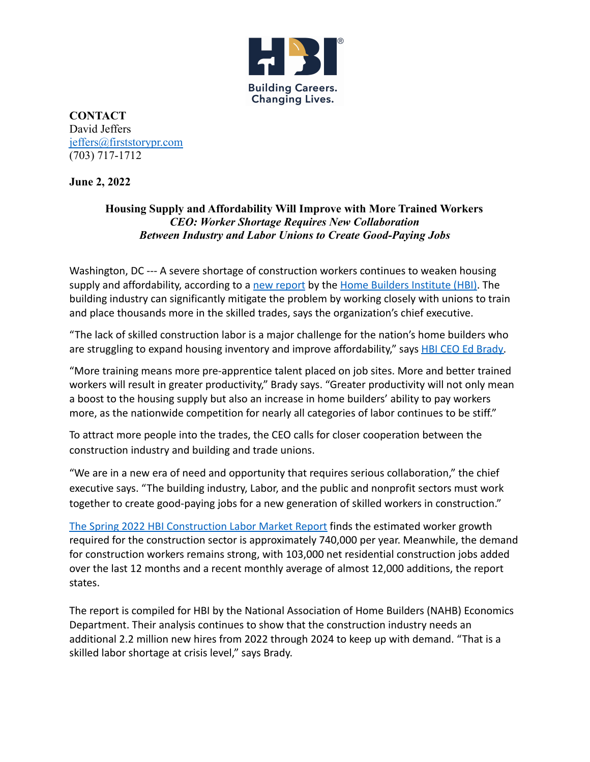

**CONTACT** David Jeffers [jeffers@firststorypr.com](mailto:jeffers@firststorypr.com) (703) 717-1712

**June 2, 2022**

## **Housing Supply and Affordability Will Improve with More Trained Workers** *CEO: Worker Shortage Requires New Collaboration Between Industry and Labor Unions to Create Good-Paying Jobs*

Washington, DC --- A severe shortage of construction workers continues to weaken housing supply and affordability, according to a [new report](https://hbi.org/wp-content/uploads/Spring-2022-HBI-Construction-Labor-Market-Report.pdf) by the [Home Builders Institute \(HBI\)](http://www.hbi.org/). The building industry can significantly mitigate the problem by working closely with unions to train and place thousands more in the skilled trades, says the organization's chief executive.

"The lack of skilled construction labor is a major challenge for the nation's home builders who are struggling to expand housing inventory and improve affordability," says **HBI CEO Ed Brady**.

"More training means more pre-apprentice talent placed on job sites. More and better trained workers will result in greater productivity," Brady says. "Greater productivity will not only mean a boost to the housing supply but also an increase in home builders' ability to pay workers more, as the nationwide competition for nearly all categories of labor continues to be stiff."

To attract more people into the trades, the CEO calls for closer cooperation between the construction industry and building and trade unions.

"We are in a new era of need and opportunity that requires serious collaboration," the chief executive says. "The building industry, Labor, and the public and nonprofit sectors must work together to create good-paying jobs for a new generation of skilled workers in construction."

[The Spring 2022 HBI Construction Labor Market Report](https://hbi.org/wp-content/uploads/Spring-2022-HBI-Construction-Labor-Market-Report.pdf) finds the estimated worker growth required for the construction sector is approximately 740,000 per year. Meanwhile, the demand for construction workers remains strong, with 103,000 net residential construction jobs added over the last 12 months and a recent monthly average of almost 12,000 additions, the report states.

The report is compiled for HBI by the National Association of Home Builders (NAHB) Economics Department. Their analysis continues to show that the construction industry needs an additional 2.2 million new hires from 2022 through 2024 to keep up with demand. "That is a skilled labor shortage at crisis level," says Brady.